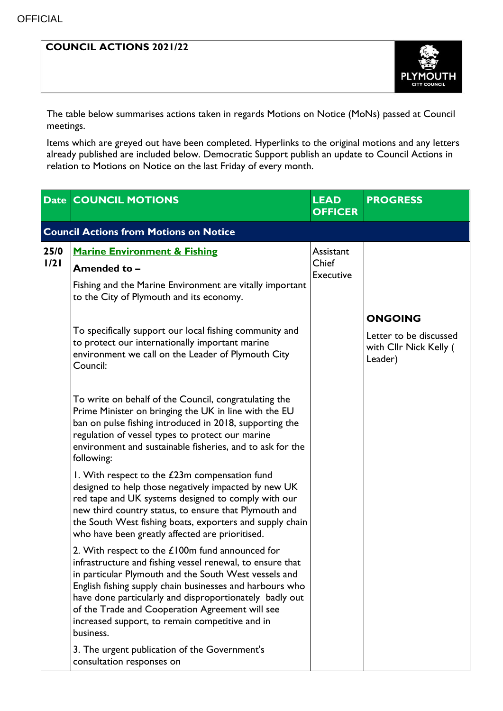## **COUNCIL ACTIONS 2021/22**



The table below summarises actions taken in regards Motions on Notice (MoNs) passed at Council meetings.

Items which are greyed out have been completed. Hyperlinks to the original motions and any letters already published are included below. Democratic Support publish an update to Council Actions in relation to Motions on Notice on the last Friday of every month.

|              | <b>Date COUNCIL MOTIONS</b>                                                                                                                                                                                                                                                                                                                                                                                       | <b>LEAD</b><br><b>OFFICER</b>          | <b>PROGRESS</b>                                                               |
|--------------|-------------------------------------------------------------------------------------------------------------------------------------------------------------------------------------------------------------------------------------------------------------------------------------------------------------------------------------------------------------------------------------------------------------------|----------------------------------------|-------------------------------------------------------------------------------|
|              | <b>Council Actions from Motions on Notice</b>                                                                                                                                                                                                                                                                                                                                                                     |                                        |                                                                               |
| 25/0<br>1/21 | <b>Marine Environment &amp; Fishing</b><br>Amended to -                                                                                                                                                                                                                                                                                                                                                           | Assistant<br>Chief<br><b>Executive</b> |                                                                               |
|              | Fishing and the Marine Environment are vitally important<br>to the City of Plymouth and its economy.                                                                                                                                                                                                                                                                                                              |                                        |                                                                               |
|              | To specifically support our local fishing community and<br>to protect our internationally important marine<br>environment we call on the Leader of Plymouth City<br>Council:                                                                                                                                                                                                                                      |                                        | <b>ONGOING</b><br>Letter to be discussed<br>with Cllr Nick Kelly (<br>Leader) |
|              | To write on behalf of the Council, congratulating the<br>Prime Minister on bringing the UK in line with the EU<br>ban on pulse fishing introduced in 2018, supporting the<br>regulation of vessel types to protect our marine<br>environment and sustainable fisheries, and to ask for the<br>following:                                                                                                          |                                        |                                                                               |
|              | I. With respect to the £23m compensation fund<br>designed to help those negatively impacted by new UK<br>red tape and UK systems designed to comply with our<br>new third country status, to ensure that Plymouth and<br>the South West fishing boats, exporters and supply chain<br>who have been greatly affected are prioritised.                                                                              |                                        |                                                                               |
|              | 2. With respect to the $£100m$ fund announced for<br>infrastructure and fishing vessel renewal, to ensure that<br>in particular Plymouth and the South West vessels and<br>English fishing supply chain businesses and harbours who<br>have done particularly and disproportionately badly out<br>of the Trade and Cooperation Agreement will see<br>increased support, to remain competitive and in<br>business. |                                        |                                                                               |
|              | 3. The urgent publication of the Government's<br>consultation responses on                                                                                                                                                                                                                                                                                                                                        |                                        |                                                                               |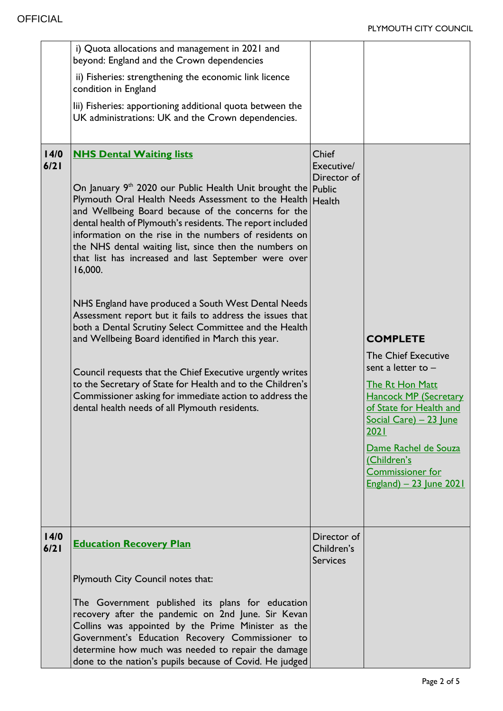|              | i) Quota allocations and management in 2021 and<br>beyond: England and the Crown dependencies<br>ii) Fisheries: strengthening the economic link licence<br>condition in England<br>lii) Fisheries: apportioning additional quota between the<br>UK administrations: UK and the Crown dependencies.                                                                                                                                                                                                                                                                                                                                                                                                                                                                                                                                                                                                                                                                 |                                              |                                                                                                                                                                                                                                                                                           |
|--------------|--------------------------------------------------------------------------------------------------------------------------------------------------------------------------------------------------------------------------------------------------------------------------------------------------------------------------------------------------------------------------------------------------------------------------------------------------------------------------------------------------------------------------------------------------------------------------------------------------------------------------------------------------------------------------------------------------------------------------------------------------------------------------------------------------------------------------------------------------------------------------------------------------------------------------------------------------------------------|----------------------------------------------|-------------------------------------------------------------------------------------------------------------------------------------------------------------------------------------------------------------------------------------------------------------------------------------------|
| 14/0<br>6/21 | <b>NHS Dental Waiting lists</b><br>On January 9 <sup>th</sup> 2020 our Public Health Unit brought the Public<br>Plymouth Oral Health Needs Assessment to the Health Health<br>and Wellbeing Board because of the concerns for the<br>dental health of Plymouth's residents. The report included<br>information on the rise in the numbers of residents on<br>the NHS dental waiting list, since then the numbers on<br>that list has increased and last September were over<br>16,000.<br>NHS England have produced a South West Dental Needs<br>Assessment report but it fails to address the issues that<br>both a Dental Scrutiny Select Committee and the Health<br>and Wellbeing Board identified in March this year.<br>Council requests that the Chief Executive urgently writes<br>to the Secretary of State for Health and to the Children's<br>Commissioner asking for immediate action to address the<br>dental health needs of all Plymouth residents. | Chief<br>Executive/<br>Director of           | <b>COMPLETE</b><br><b>The Chief Executive</b><br>sent a letter to $-$<br><b>The Rt Hon Matt</b><br><b>Hancock MP (Secretary</b><br>of State for Health and<br>Social Care) - 23 June<br>2021<br>Dame Rachel de Souza<br>(Children's<br><b>Commissioner for</b><br>England) - 23 June 2021 |
| 14/0<br>6/21 | <b>Education Recovery Plan</b>                                                                                                                                                                                                                                                                                                                                                                                                                                                                                                                                                                                                                                                                                                                                                                                                                                                                                                                                     | Director of<br>Children's<br><b>Services</b> |                                                                                                                                                                                                                                                                                           |
|              | Plymouth City Council notes that:                                                                                                                                                                                                                                                                                                                                                                                                                                                                                                                                                                                                                                                                                                                                                                                                                                                                                                                                  |                                              |                                                                                                                                                                                                                                                                                           |
|              | The Government published its plans for education<br>recovery after the pandemic on 2nd June. Sir Kevan<br>Collins was appointed by the Prime Minister as the<br>Government's Education Recovery Commissioner to<br>determine how much was needed to repair the damage<br>done to the nation's pupils because of Covid. He judged                                                                                                                                                                                                                                                                                                                                                                                                                                                                                                                                                                                                                                   |                                              |                                                                                                                                                                                                                                                                                           |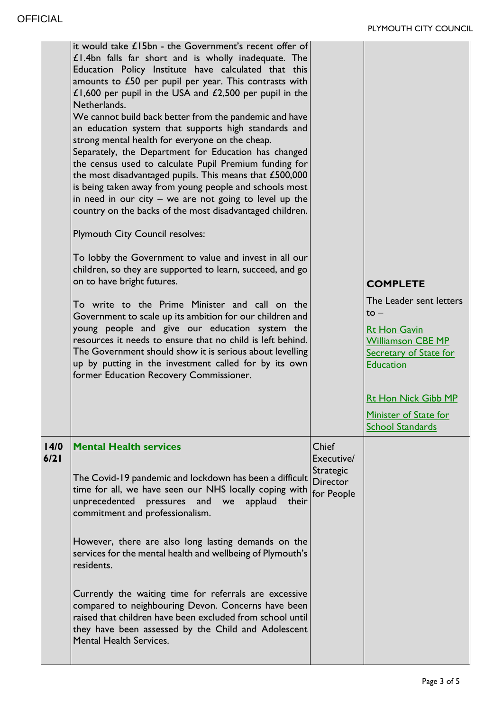|              | it would take £15bn - the Government's recent offer of<br>$£1.4$ bn falls far short and is wholly inadequate. The<br>Education Policy Institute have calculated that this<br>amounts to $£50$ per pupil per year. This contrasts with<br>£1,600 per pupil in the USA and $£2,500$ per pupil in the<br>Netherlands.<br>We cannot build back better from the pandemic and have<br>an education system that supports high standards and<br>strong mental health for everyone on the cheap.<br>Separately, the Department for Education has changed<br>the census used to calculate Pupil Premium funding for<br>the most disadvantaged pupils. This means that £500,000<br>is being taken away from young people and schools most<br>in need in our city $-$ we are not going to level up the<br>country on the backs of the most disadvantaged children.<br><b>Plymouth City Council resolves:</b><br>To lobby the Government to value and invest in all our<br>children, so they are supported to learn, succeed, and go |                                                                          |                                                                                                                                                                                                                                         |
|--------------|-------------------------------------------------------------------------------------------------------------------------------------------------------------------------------------------------------------------------------------------------------------------------------------------------------------------------------------------------------------------------------------------------------------------------------------------------------------------------------------------------------------------------------------------------------------------------------------------------------------------------------------------------------------------------------------------------------------------------------------------------------------------------------------------------------------------------------------------------------------------------------------------------------------------------------------------------------------------------------------------------------------------------|--------------------------------------------------------------------------|-----------------------------------------------------------------------------------------------------------------------------------------------------------------------------------------------------------------------------------------|
|              | on to have bright futures.<br>To write to the Prime Minister and call on the<br>Government to scale up its ambition for our children and<br>young people and give our education system the<br>resources it needs to ensure that no child is left behind.<br>The Government should show it is serious about levelling<br>up by putting in the investment called for by its own<br>former Education Recovery Commissioner.                                                                                                                                                                                                                                                                                                                                                                                                                                                                                                                                                                                                |                                                                          | <b>COMPLETE</b><br>The Leader sent letters<br>$to -$<br><b>Rt Hon Gavin</b><br>Williamson CBE MP<br><b>Secretary of State for</b><br><b>Education</b><br><b>Rt Hon Nick Gibb MP</b><br>Minister of State for<br><b>School Standards</b> |
| 14/0<br>6/21 | <b>Mental Health services</b><br>The Covid-19 pandemic and lockdown has been a difficult<br>time for all, we have seen our NHS locally coping with<br>unprecedented pressures<br>and<br>applaud their<br>we<br>commitment and professionalism.<br>However, there are also long lasting demands on the<br>services for the mental health and wellbeing of Plymouth's<br>residents.<br>Currently the waiting time for referrals are excessive<br>compared to neighbouring Devon. Concerns have been<br>raised that children have been excluded from school until<br>they have been assessed by the Child and Adolescent<br><b>Mental Health Services.</b>                                                                                                                                                                                                                                                                                                                                                                 | <b>Chief</b><br>Executive/<br>Strategic<br><b>Director</b><br>for People |                                                                                                                                                                                                                                         |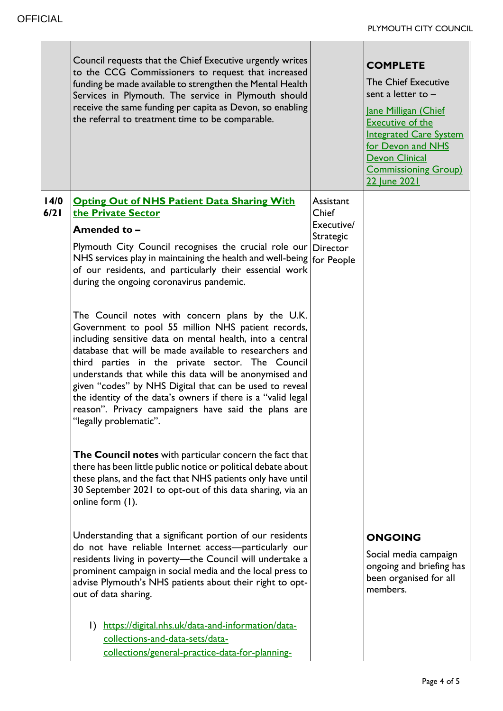|              | Council requests that the Chief Executive urgently writes<br>to the CCG Commissioners to request that increased<br>funding be made available to strengthen the Mental Health<br>Services in Plymouth. The service in Plymouth should<br>receive the same funding per capita as Devon, so enabling<br>the referral to treatment time to be comparable.                                                                                                                                                                                                                                                                                                                                                                                                                                                                                                                                                                                                                                                                                                                                                                                                                                  |                                                      | <b>COMPLETE</b><br><b>The Chief Executive</b><br>sent a letter to $-$<br>Jane Milligan (Chief<br><b>Executive of the</b><br><b>Integrated Care System</b><br>for Devon and NHS<br><b>Devon Clinical</b><br><b>Commissioning Group)</b><br>22 June 2021 |
|--------------|----------------------------------------------------------------------------------------------------------------------------------------------------------------------------------------------------------------------------------------------------------------------------------------------------------------------------------------------------------------------------------------------------------------------------------------------------------------------------------------------------------------------------------------------------------------------------------------------------------------------------------------------------------------------------------------------------------------------------------------------------------------------------------------------------------------------------------------------------------------------------------------------------------------------------------------------------------------------------------------------------------------------------------------------------------------------------------------------------------------------------------------------------------------------------------------|------------------------------------------------------|--------------------------------------------------------------------------------------------------------------------------------------------------------------------------------------------------------------------------------------------------------|
| 14/0<br>6/21 | <b>Opting Out of NHS Patient Data Sharing With</b><br>the Private Sector<br>Amended to -<br>Plymouth City Council recognises the crucial role our Director<br>NHS services play in maintaining the health and well-being   for People<br>of our residents, and particularly their essential work<br>during the ongoing coronavirus pandemic.<br>The Council notes with concern plans by the U.K.<br>Government to pool 55 million NHS patient records,<br>including sensitive data on mental health, into a central<br>database that will be made available to researchers and<br>third parties in the private sector. The Council<br>understands that while this data will be anonymised and<br>given "codes" by NHS Digital that can be used to reveal<br>the identity of the data's owners if there is a "valid legal<br>reason". Privacy campaigners have said the plans are<br>"legally problematic".<br>The Council notes with particular concern the fact that<br>there has been little public notice or political debate about<br>these plans, and the fact that NHS patients only have until<br>30 September 2021 to opt-out of this data sharing, via an<br>online form (1). | Assistant<br>Chief<br>Executive/<br><b>Strategic</b> |                                                                                                                                                                                                                                                        |
|              | Understanding that a significant portion of our residents<br>do not have reliable Internet access-particularly our<br>residents living in poverty-the Council will undertake a<br>prominent campaign in social media and the local press to<br>advise Plymouth's NHS patients about their right to opt-<br>out of data sharing.<br>https://digital.nhs.uk/data-and-information/data-<br>$\mathbf{D}$<br>collections-and-data-sets/data-<br>collections/general-practice-data-for-planning-                                                                                                                                                                                                                                                                                                                                                                                                                                                                                                                                                                                                                                                                                             |                                                      | <b>ONGOING</b><br>Social media campaign<br>ongoing and briefing has<br>been organised for all<br>members.                                                                                                                                              |